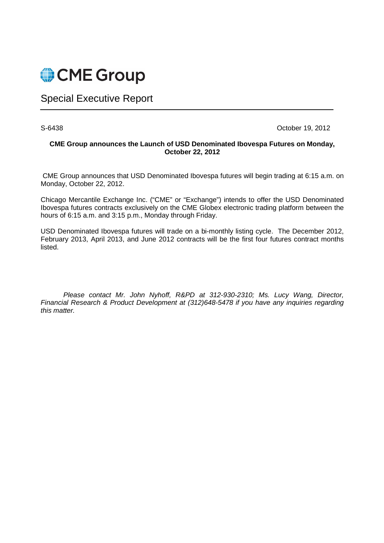

# Special Executive Report

S-6438 October 19, 2012

#### **CME Group announces the Launch of USD Denominated Ibovespa Futures on Monday, October 22, 2012**

 CME Group announces that USD Denominated Ibovespa futures will begin trading at 6:15 a.m. on Monday, October 22, 2012.

Chicago Mercantile Exchange Inc. ("CME" or "Exchange") intends to offer the USD Denominated Ibovespa futures contracts exclusively on the CME Globex electronic trading platform between the hours of 6:15 a.m. and 3:15 p.m., Monday through Friday.

USD Denominated Ibovespa futures will trade on a bi-monthly listing cycle. The December 2012, February 2013, April 2013, and June 2012 contracts will be the first four futures contract months listed.

Please contact Mr. John Nyhoff, R&PD at 312-930-2310; Ms. Lucy Wang, Director, Financial Research & Product Development at (312)648-5478 if you have any inquiries regarding this matter.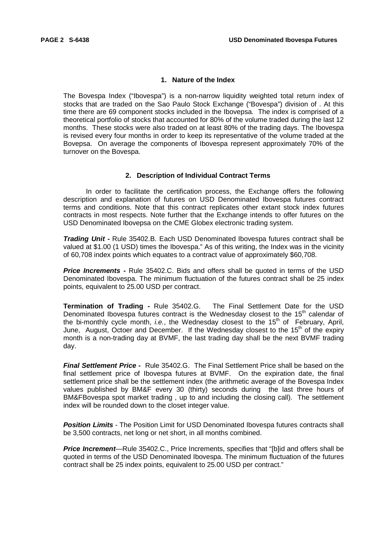#### **1. Nature of the Index**

The Bovespa Index ("Ibovespa") is a non-narrow liquidity weighted total return index of stocks that are traded on the Sao Paulo Stock Exchange ("Bovespa") division of . At this time there are 69 component stocks included in the Ibovepsa. The index is comprised of a theoretical portfolio of stocks that accounted for 80% of the volume traded during the last 12 months. These stocks were also traded on at least 80% of the trading days. The Ibovespa is revised every four months in order to keep its representative of the volume traded at the Bovepsa. On average the components of Ibovespa represent approximately 70% of the turnover on the Bovespa.

#### **2. Description of Individual Contract Terms**

In order to facilitate the certification process, the Exchange offers the following description and explanation of futures on USD Denominated Ibovespa futures contract terms and conditions. Note that this contract replicates other extant stock index futures contracts in most respects. Note further that the Exchange intends to offer futures on the USD Denominated Ibovepsa on the CME Globex electronic trading system.

**Trading Unit -** Rule 35402.B. Each USD Denominated Ibovespa futures contract shall be valued at \$1.00 (1 USD) times the Ibovespa." As of this writing, the Index was in the vicinity of 60,708 index points which equates to a contract value of approximately \$60,708.

**Price Increments -** Rule 35402.C. Bids and offers shall be quoted in terms of the USD Denominated Ibovespa. The minimum fluctuation of the futures contract shall be 25 index points, equivalent to 25.00 USD per contract.

**Termination of Trading -** Rule 35402.G. The Final Settlement Date for the USD Denominated Ibovespa futures contract is the Wednesday closest to the  $15<sup>th</sup>$  calendar of the bi-monthly cycle month, *i.e.*, the Wednesday closest to the 15<sup>th</sup> of February, April, June, August, Octoer and December. If the Wednesday closest to the 15<sup>th</sup> of the expiry month is a non-trading day at BVMF, the last trading day shall be the next BVMF trading day.

**Final Settlement Price -** Rule 35402.G.The Final Settlement Price shall be based on the final settlement price of Ibovespa futures at BVMF. On the expiration date, the final settlement price shall be the settlement index (the arithmetic average of the Bovespa Index values published by BM&F every 30 (thirty) seconds during the last three hours of BM&FBovespa spot market trading , up to and including the closing call). The settlement index will be rounded down to the closet integer value.

**Position Limits** - The Position Limit for USD Denominated Ibovespa futures contracts shall be 3,500 contracts, net long or net short, in all months combined.

**Price Increment**—Rule 35402.C., Price Increments, specifies that "[b]id and offers shall be quoted in terms of the USD Denominated Ibovespa. The minimum fluctuation of the futures contract shall be 25 index points, equivalent to 25.00 USD per contract."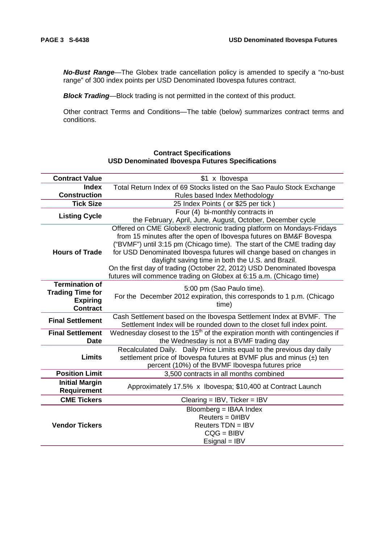**No-Bust Range**—The Globex trade cancellation policy is amended to specify a "no-bust range" of 300 index points per USD Denominated Ibovespa futures contract.

**Block Trading—Block trading is not permitted in the context of this product.** 

Other contract Terms and Conditions—The table (below) summarizes contract terms and conditions.

#### **Contract Value 31 x Ibovespa Index Construction** Total Return Index of 69 Stocks listed on the Sao Paulo Stock Exchange Rules based Index Methodology **Tick Size** 25 Index Points ( or \$25 per tick ) **Listing Cycle** Four (4) bi-monthly contracts in the February, April, June, August, October, December cycle **Hours of Trade** Offered on CME Globex® electronic trading platform on Mondays-Fridays from 15 minutes after the open of Ibovespa futures on BM&F Bovespa ("BVMF") until 3:15 pm (Chicago time). The start of the CME trading day for USD Denominated Ibovespa futures will change based on changes in daylight saving time in both the U.S. and Brazil. On the first day of trading (October 22, 2012) USD Denominated Ibovespa futures will commence trading on Globex at 6:15 a.m. (Chicago time) **Termination of Trading Time for Expiring Contract** 5:00 pm (Sao Paulo time). For the December 2012 expiration, this corresponds to 1 p.m. (Chicago time) **Final Settlement** Cash Settlement based on the Ibovespa Settlement Index at BVMF. The Settlement Index will be rounded down to the closet full index point. **Final Settlement Date** Wednesday closest to the  $15<sup>th</sup>$  of the expiration month with contingencies if the Wednesday is not a BVMF trading day **Limits** Recalculated Daily. Daily Price Limits equal to the previous day daily settlement price of Ibovespa futures at BVMF plus and minus (±) ten percent (10%) of the BVMF Ibovespa futures price **Position Limit** 3,500 contracts in all months combined **Initial Margin Requirement** Approximately 17.5% x Ibovespa; \$10,400 at Contract Launch **CME Tickers** Clearing = IBV, Ticker = IBV **Vendor Tickers** Bloomberg = IBAA Index Reuters = 0#IBV Reuters TDN = IBV CQG = BIBV Esignal = IBV

# **Contract Specifications USD Denominated Ibovespa Futures Specifications**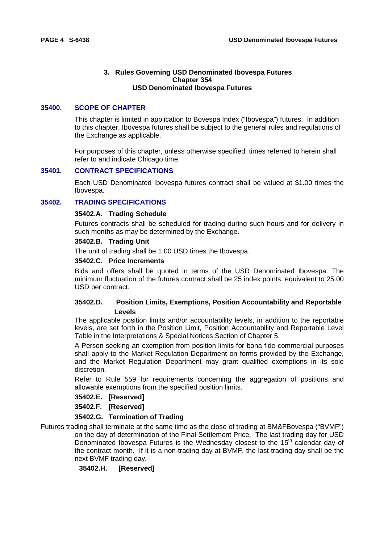# **3. Rules Governing USD Denominated Ibovespa Futures Chapter 354 USD Denominated Ibovespa Futures**

# **35400. SCOPE OF CHAPTER**

This chapter is limited in application to Bovespa Index ("Ibovespa") futures. In addition to this chapter, Ibovespa futures shall be subject to the general rules and regulations of the Exchange as applicable.

For purposes of this chapter, unless otherwise specified, times referred to herein shall refer to and indicate Chicago time.

#### **35401. CONTRACT SPECIFICATIONS**

Each USD Denominated Ibovespa futures contract shall be valued at \$1.00 times the Ibovespa.

# **35402. TRADING SPECIFICATIONS**

#### **35402.A. Trading Schedule**

Futures contracts shall be scheduled for trading during such hours and for delivery in such months as may be determined by the Exchange.

#### **35402.B. Trading Unit**

The unit of trading shall be 1.00 USD times the Ibovespa.

#### **35402.C. Price Increments**

Bids and offers shall be quoted in terms of the USD Denominated Ibovespa. The minimum fluctuation of the futures contract shall be 25 index points, equivalent to 25.00 USD per contract.

# **35402.D. Position Limits, Exemptions, Position Accountability and Reportable Levels**

The applicable position limits and/or accountability levels, in addition to the reportable levels, are set forth in the Position Limit, Position Accountability and Reportable Level Table in the Interpretations & Special Notices Section of Chapter 5.

A Person seeking an exemption from position limits for bona fide commercial purposes shall apply to the Market Regulation Department on forms provided by the Exchange, and the Market Regulation Department may grant qualified exemptions in its sole discretion.

Refer to Rule 559 for requirements concerning the aggregation of positions and allowable exemptions from the specified position limits.

**35402.E. [Reserved]** 

**35402.F. [Reserved]** 

# **35402.G. Termination of Trading**

Futures trading shall terminate at the same time as the close of trading at BM&FBovespa ("BVMF") on the day of determination of the Final Settlement Price. The last trading day for USD Denominated Ibovespa Futures is the Wednesday closest to the  $15<sup>th</sup>$  calendar day of the contract month. If it is a non-trading day at BVMF, the last trading day shall be the next BVMF trading day.

**35402.H. [Reserved]**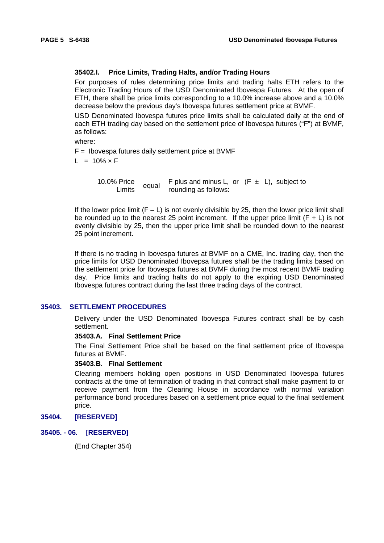# **35402.I. Price Limits, Trading Halts, and/or Trading Hours**

For purposes of rules determining price limits and trading halts ETH refers to the Electronic Trading Hours of the USD Denominated Ibovespa Futures. At the open of ETH, there shall be price limits corresponding to a 10.0% increase above and a 10.0% decrease below the previous day's Ibovespa futures settlement price at BVMF.

USD Denominated Ibovespa futures price limits shall be calculated daily at the end of each ETH trading day based on the settlement price of Ibovespa futures ("F") at BVMF, as follows:

where:

 $F =$  Ibovespa futures daily settlement price at BVMF

 $L = 10\% \times F$ 

10.0% Price Frice equal F plus and minus L, or  $(F \pm L)$ , subject to units  $\frac{1}{2}$  equal counding as follows: rounding as follows:

If the lower price limit  $(F - L)$  is not evenly divisible by 25, then the lower price limit shall be rounded up to the nearest 25 point increment. If the upper price limit  $(F + L)$  is not evenly divisible by 25, then the upper price limit shall be rounded down to the nearest 25 point increment.

If there is no trading in Ibovespa futures at BVMF on a CME, Inc. trading day, then the price limits for USD Denominated Ibovepsa futures shall be the trading limits based on the settlement price for Ibovespa futures at BVMF during the most recent BVMF trading day. Price limits and trading halts do not apply to the expiring USD Denominated Ibovespa futures contract during the last three trading days of the contract.

# **35403. SETTLEMENT PROCEDURES**

Delivery under the USD Denominated Ibovespa Futures contract shall be by cash settlement.

#### **35403.A. Final Settlement Price**

The Final Settlement Price shall be based on the final settlement price of Ibovespa futures at BVMF.

#### **35403.B. Final Settlement**

Clearing members holding open positions in USD Denominated Ibovespa futures contracts at the time of termination of trading in that contract shall make payment to or receive payment from the Clearing House in accordance with normal variation performance bond procedures based on a settlement price equal to the final settlement price.

# **35404. [RESERVED]**

# **35405. - 06. [RESERVED]**

(End Chapter 354)